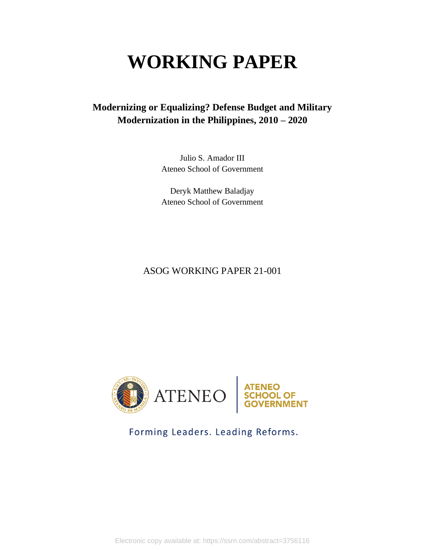# **WORKING PAPER**

# **Modernizing or Equalizing? Defense Budget and Military Modernization in the Philippines, 2010 – 2020**

Julio S. Amador III Ateneo School of Government

Deryk Matthew Baladjay Ateneo School of Government

# ASOG WORKING PAPER 21-001



# Forming Leaders. Leading Reforms.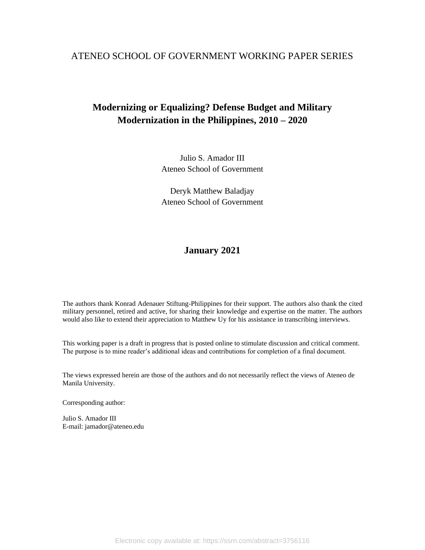## ATENEO SCHOOL OF GOVERNMENT WORKING PAPER SERIES

# **Modernizing or Equalizing? Defense Budget and Military Modernization in the Philippines, 2010 – 2020**

Julio S. Amador III Ateneo School of Government

Deryk Matthew Baladjay Ateneo School of Government

# **January 2021**

The authors thank Konrad Adenauer Stiftung-Philippines for their support. The authors also thank the cited military personnel, retired and active, for sharing their knowledge and expertise on the matter. The authors would also like to extend their appreciation to Matthew Uy for his assistance in transcribing interviews.

This working paper is a draft in progress that is posted online to stimulate discussion and critical comment. The purpose is to mine reader's additional ideas and contributions for completion of a final document.

The views expressed herein are those of the authors and do not necessarily reflect the views of Ateneo de Manila University.

Corresponding author:

Julio S. Amador III E-mail: jamador@ateneo.edu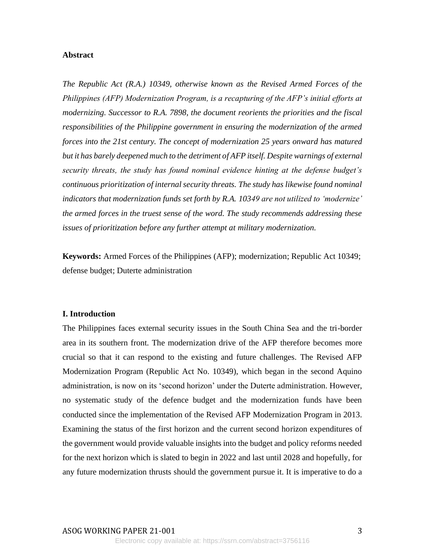#### **Abstract**

*The Republic Act (R.A.) 10349, otherwise known as the Revised Armed Forces of the Philippines (AFP) Modernization Program, is a recapturing of the AFP's initial efforts at modernizing. Successor to R.A. 7898, the document reorients the priorities and the fiscal responsibilities of the Philippine government in ensuring the modernization of the armed forces into the 21st century. The concept of modernization 25 years onward has matured but it has barely deepened much to the detriment of AFP itself. Despite warnings of external security threats, the study has found nominal evidence hinting at the defense budget's continuous prioritization of internal security threats. The study has likewise found nominal indicators that modernization funds set forth by R.A. 10349 are not utilized to 'modernize' the armed forces in the truest sense of the word. The study recommends addressing these issues of prioritization before any further attempt at military modernization.*

**Keywords:** Armed Forces of the Philippines (AFP); modernization; Republic Act 10349; defense budget; Duterte administration

#### **I. Introduction**

The Philippines faces external security issues in the South China Sea and the tri-border area in its southern front. The modernization drive of the AFP therefore becomes more crucial so that it can respond to the existing and future challenges. The Revised AFP Modernization Program (Republic Act No. 10349), which began in the second Aquino administration, is now on its 'second horizon' under the Duterte administration. However, no systematic study of the defence budget and the modernization funds have been conducted since the implementation of the Revised AFP Modernization Program in 2013. Examining the status of the first horizon and the current second horizon expenditures of the government would provide valuable insights into the budget and policy reforms needed for the next horizon which is slated to begin in 2022 and last until 2028 and hopefully, for any future modernization thrusts should the government pursue it. It is imperative to do a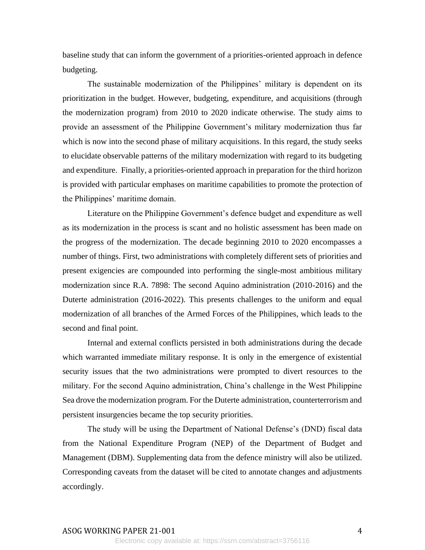baseline study that can inform the government of a priorities-oriented approach in defence budgeting.

The sustainable modernization of the Philippines' military is dependent on its prioritization in the budget. However, budgeting, expenditure, and acquisitions (through the modernization program) from 2010 to 2020 indicate otherwise. The study aims to provide an assessment of the Philippine Government's military modernization thus far which is now into the second phase of military acquisitions. In this regard, the study seeks to elucidate observable patterns of the military modernization with regard to its budgeting and expenditure. Finally, a priorities-oriented approach in preparation for the third horizon is provided with particular emphases on maritime capabilities to promote the protection of the Philippines' maritime domain.

Literature on the Philippine Government's defence budget and expenditure as well as its modernization in the process is scant and no holistic assessment has been made on the progress of the modernization. The decade beginning 2010 to 2020 encompasses a number of things. First, two administrations with completely different sets of priorities and present exigencies are compounded into performing the single-most ambitious military modernization since R.A. 7898: The second Aquino administration (2010-2016) and the Duterte administration (2016-2022). This presents challenges to the uniform and equal modernization of all branches of the Armed Forces of the Philippines, which leads to the second and final point.

Internal and external conflicts persisted in both administrations during the decade which warranted immediate military response. It is only in the emergence of existential security issues that the two administrations were prompted to divert resources to the military. For the second Aquino administration, China's challenge in the West Philippine Sea drove the modernization program. For the Duterte administration, counterterrorism and persistent insurgencies became the top security priorities.

The study will be using the Department of National Defense's (DND) fiscal data from the National Expenditure Program (NEP) of the Department of Budget and Management (DBM). Supplementing data from the defence ministry will also be utilized. Corresponding caveats from the dataset will be cited to annotate changes and adjustments accordingly.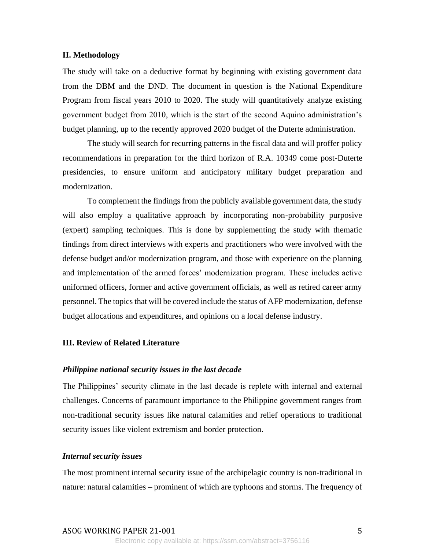#### **II. Methodology**

The study will take on a deductive format by beginning with existing government data from the DBM and the DND. The document in question is the National Expenditure Program from fiscal years 2010 to 2020. The study will quantitatively analyze existing government budget from 2010, which is the start of the second Aquino administration's budget planning, up to the recently approved 2020 budget of the Duterte administration.

The study will search for recurring patterns in the fiscal data and will proffer policy recommendations in preparation for the third horizon of R.A. 10349 come post-Duterte presidencies, to ensure uniform and anticipatory military budget preparation and modernization.

To complement the findings from the publicly available government data, the study will also employ a qualitative approach by incorporating non-probability purposive (expert) sampling techniques. This is done by supplementing the study with thematic findings from direct interviews with experts and practitioners who were involved with the defense budget and/or modernization program, and those with experience on the planning and implementation of the armed forces' modernization program. These includes active uniformed officers, former and active government officials, as well as retired career army personnel. The topics that will be covered include the status of AFP modernization, defense budget allocations and expenditures, and opinions on a local defense industry.

## **III. Review of Related Literature**

#### *Philippine national security issues in the last decade*

The Philippines' security climate in the last decade is replete with internal and external challenges. Concerns of paramount importance to the Philippine government ranges from non-traditional security issues like natural calamities and relief operations to traditional security issues like violent extremism and border protection.

#### *Internal security issues*

The most prominent internal security issue of the archipelagic country is non-traditional in nature: natural calamities – prominent of which are typhoons and storms. The frequency of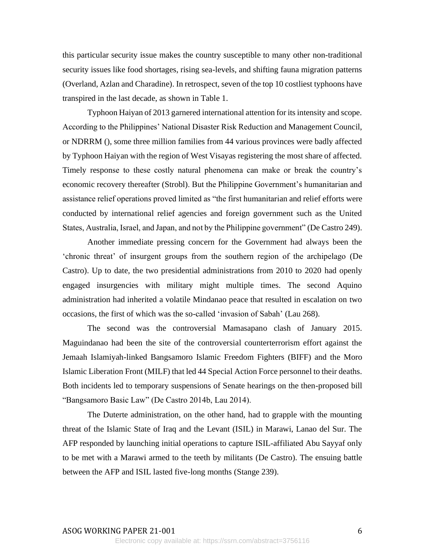this particular security issue makes the country susceptible to many other non-traditional security issues like food shortages, rising sea-levels, and shifting fauna migration patterns (Overland, Azlan and Charadine). In retrospect, seven of the top 10 costliest typhoons have transpired in the last decade, as shown in Table 1.

Typhoon Haiyan of 2013 garnered international attention for its intensity and scope. According to the Philippines' National Disaster Risk Reduction and Management Council, or NDRRM (), some three million families from 44 various provinces were badly affected by Typhoon Haiyan with the region of West Visayas registering the most share of affected. Timely response to these costly natural phenomena can make or break the country's economic recovery thereafter (Strobl). But the Philippine Government's humanitarian and assistance relief operations proved limited as "the first humanitarian and relief efforts were conducted by international relief agencies and foreign government such as the United States, Australia, Israel, and Japan, and not by the Philippine government" (De Castro 249).

Another immediate pressing concern for the Government had always been the 'chronic threat' of insurgent groups from the southern region of the archipelago (De Castro). Up to date, the two presidential administrations from 2010 to 2020 had openly engaged insurgencies with military might multiple times. The second Aquino administration had inherited a volatile Mindanao peace that resulted in escalation on two occasions, the first of which was the so-called 'invasion of Sabah' (Lau 268).

The second was the controversial Mamasapano clash of January 2015. Maguindanao had been the site of the controversial counterterrorism effort against the Jemaah Islamiyah-linked Bangsamoro Islamic Freedom Fighters (BIFF) and the Moro Islamic Liberation Front (MILF) that led 44 Special Action Force personnel to their deaths. Both incidents led to temporary suspensions of Senate hearings on the then-proposed bill "Bangsamoro Basic Law" (De Castro 2014b, Lau 2014).

The Duterte administration, on the other hand, had to grapple with the mounting threat of the Islamic State of Iraq and the Levant (ISIL) in Marawi, Lanao del Sur. The AFP responded by launching initial operations to capture ISIL-affiliated Abu Sayyaf only to be met with a Marawi armed to the teeth by militants (De Castro). The ensuing battle between the AFP and ISIL lasted five-long months (Stange 239).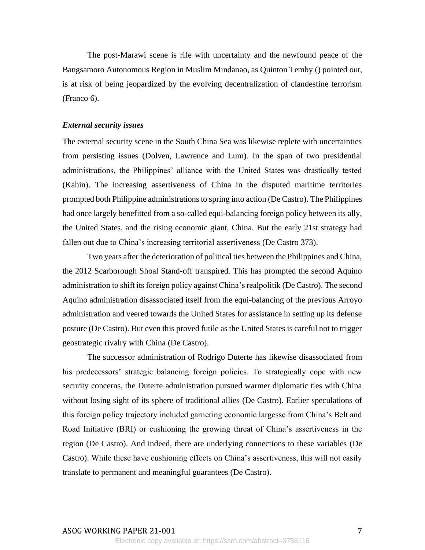The post-Marawi scene is rife with uncertainty and the newfound peace of the Bangsamoro Autonomous Region in Muslim Mindanao, as Quinton Temby () pointed out, is at risk of being jeopardized by the evolving decentralization of clandestine terrorism (Franco 6).

#### *External security issues*

The external security scene in the South China Sea was likewise replete with uncertainties from persisting issues (Dolven, Lawrence and Lum). In the span of two presidential administrations, the Philippines' alliance with the United States was drastically tested (Kahin). The increasing assertiveness of China in the disputed maritime territories prompted both Philippine administrations to spring into action (De Castro). The Philippines had once largely benefitted from a so-called equi-balancing foreign policy between its ally, the United States, and the rising economic giant, China. But the early 21st strategy had fallen out due to China's increasing territorial assertiveness (De Castro 373).

Two years after the deterioration of political ties between the Philippines and China, the 2012 Scarborough Shoal Stand-off transpired. This has prompted the second Aquino administration to shift its foreign policy against China's realpolitik (De Castro). The second Aquino administration disassociated itself from the equi-balancing of the previous Arroyo administration and veered towards the United States for assistance in setting up its defense posture (De Castro). But even this proved futile as the United States is careful not to trigger geostrategic rivalry with China (De Castro).

The successor administration of Rodrigo Duterte has likewise disassociated from his predecessors' strategic balancing foreign policies. To strategically cope with new security concerns, the Duterte administration pursued warmer diplomatic ties with China without losing sight of its sphere of traditional allies (De Castro). Earlier speculations of this foreign policy trajectory included garnering economic largesse from China's Belt and Road Initiative (BRI) or cushioning the growing threat of China's assertiveness in the region (De Castro). And indeed, there are underlying connections to these variables (De Castro). While these have cushioning effects on China's assertiveness, this will not easily translate to permanent and meaningful guarantees (De Castro).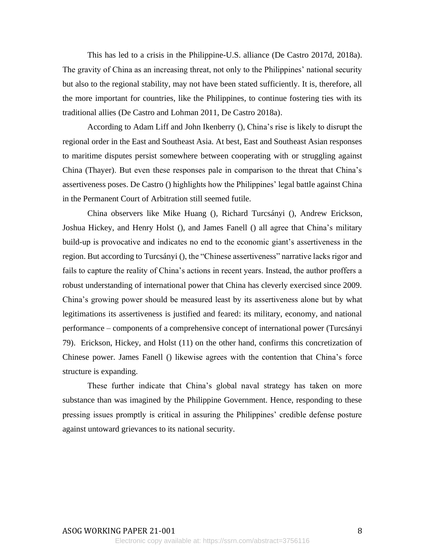This has led to a crisis in the Philippine-U.S. alliance (De Castro 2017d, 2018a). The gravity of China as an increasing threat, not only to the Philippines' national security but also to the regional stability, may not have been stated sufficiently. It is, therefore, all the more important for countries, like the Philippines, to continue fostering ties with its traditional allies (De Castro and Lohman 2011, De Castro 2018a).

According to Adam Liff and John Ikenberry (), China's rise is likely to disrupt the regional order in the East and Southeast Asia. At best, East and Southeast Asian responses to maritime disputes persist somewhere between cooperating with or struggling against China (Thayer). But even these responses pale in comparison to the threat that China's assertiveness poses. De Castro () highlights how the Philippines' legal battle against China in the Permanent Court of Arbitration still seemed futile.

China observers like Mike Huang (), Richard Turcsányi (), Andrew Erickson, Joshua Hickey, and Henry Holst (), and James Fanell () all agree that China's military build-up is provocative and indicates no end to the economic giant's assertiveness in the region. But according to Turcsányi (), the "Chinese assertiveness" narrative lacks rigor and fails to capture the reality of China's actions in recent years. Instead, the author proffers a robust understanding of international power that China has cleverly exercised since 2009. China's growing power should be measured least by its assertiveness alone but by what legitimations its assertiveness is justified and feared: its military, economy, and national performance – components of a comprehensive concept of international power (Turcsányi 79). Erickson, Hickey, and Holst (11) on the other hand, confirms this concretization of Chinese power. James Fanell () likewise agrees with the contention that China's force structure is expanding.

These further indicate that China's global naval strategy has taken on more substance than was imagined by the Philippine Government. Hence, responding to these pressing issues promptly is critical in assuring the Philippines' credible defense posture against untoward grievances to its national security.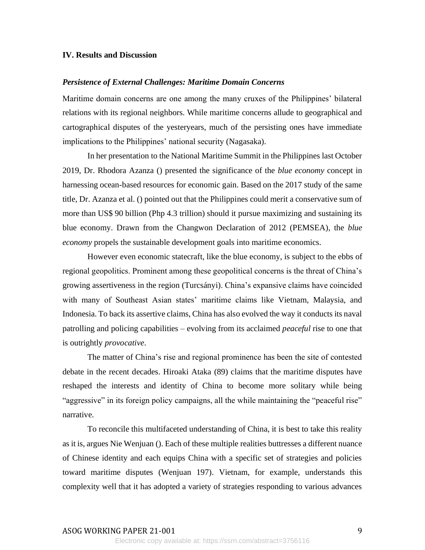#### **IV. Results and Discussion**

#### *Persistence of External Challenges: Maritime Domain Concerns*

Maritime domain concerns are one among the many cruxes of the Philippines' bilateral relations with its regional neighbors. While maritime concerns allude to geographical and cartographical disputes of the yesteryears, much of the persisting ones have immediate implications to the Philippines' national security (Nagasaka).

In her presentation to the National Maritime Summit in the Philippines last October 2019, Dr. Rhodora Azanza () presented the significance of the *blue economy* concept in harnessing ocean-based resources for economic gain. Based on the 2017 study of the same title, Dr. Azanza et al. () pointed out that the Philippines could merit a conservative sum of more than US\$ 90 billion (Php 4.3 trillion) should it pursue maximizing and sustaining its blue economy. Drawn from the Changwon Declaration of 2012 (PEMSEA), the *blue economy* propels the sustainable development goals into maritime economics.

However even economic statecraft, like the blue economy, is subject to the ebbs of regional geopolitics. Prominent among these geopolitical concerns is the threat of China's growing assertiveness in the region (Turcsányi). China's expansive claims have coincided with many of Southeast Asian states' maritime claims like Vietnam, Malaysia, and Indonesia. To back its assertive claims, China has also evolved the way it conducts its naval patrolling and policing capabilities – evolving from its acclaimed *peaceful* rise to one that is outrightly *provocative*.

The matter of China's rise and regional prominence has been the site of contested debate in the recent decades. Hiroaki Ataka (89) claims that the maritime disputes have reshaped the interests and identity of China to become more solitary while being "aggressive" in its foreign policy campaigns, all the while maintaining the "peaceful rise" narrative.

To reconcile this multifaceted understanding of China, it is best to take this reality as it is, argues Nie Wenjuan (). Each of these multiple realities buttresses a different nuance of Chinese identity and each equips China with a specific set of strategies and policies toward maritime disputes (Wenjuan 197). Vietnam, for example, understands this complexity well that it has adopted a variety of strategies responding to various advances

## ASOG WORKING PAPER 21-001 9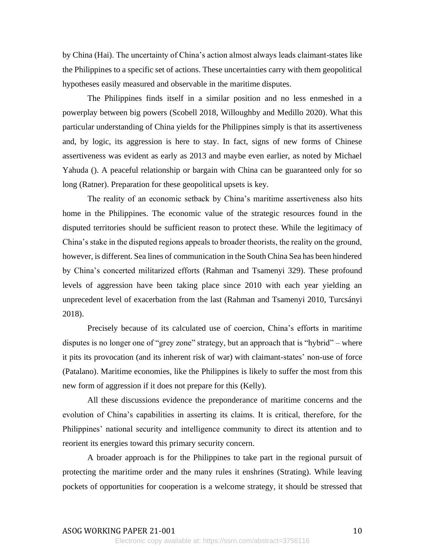by China (Hai). The uncertainty of China's action almost always leads claimant-states like the Philippines to a specific set of actions. These uncertainties carry with them geopolitical hypotheses easily measured and observable in the maritime disputes.

The Philippines finds itself in a similar position and no less enmeshed in a powerplay between big powers (Scobell 2018, Willoughby and Medillo 2020). What this particular understanding of China yields for the Philippines simply is that its assertiveness and, by logic, its aggression is here to stay. In fact, signs of new forms of Chinese assertiveness was evident as early as 2013 and maybe even earlier, as noted by Michael Yahuda (). A peaceful relationship or bargain with China can be guaranteed only for so long (Ratner). Preparation for these geopolitical upsets is key.

The reality of an economic setback by China's maritime assertiveness also hits home in the Philippines. The economic value of the strategic resources found in the disputed territories should be sufficient reason to protect these. While the legitimacy of China's stake in the disputed regions appeals to broader theorists, the reality on the ground, however, is different. Sea lines of communication in the South China Sea has been hindered by China's concerted militarized efforts (Rahman and Tsamenyi 329). These profound levels of aggression have been taking place since 2010 with each year yielding an unprecedent level of exacerbation from the last (Rahman and Tsamenyi 2010, Turcsányi 2018).

Precisely because of its calculated use of coercion, China's efforts in maritime disputes is no longer one of "grey zone" strategy, but an approach that is "hybrid" – where it pits its provocation (and its inherent risk of war) with claimant-states' non-use of force (Patalano). Maritime economies, like the Philippines is likely to suffer the most from this new form of aggression if it does not prepare for this (Kelly).

All these discussions evidence the preponderance of maritime concerns and the evolution of China's capabilities in asserting its claims. It is critical, therefore, for the Philippines' national security and intelligence community to direct its attention and to reorient its energies toward this primary security concern.

A broader approach is for the Philippines to take part in the regional pursuit of protecting the maritime order and the many rules it enshrines (Strating). While leaving pockets of opportunities for cooperation is a welcome strategy, it should be stressed that

#### ASOG WORKING PAPER 21-001 10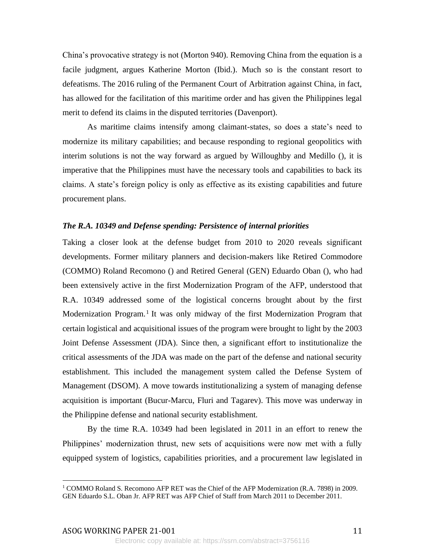China's provocative strategy is not (Morton 940). Removing China from the equation is a facile judgment, argues Katherine Morton (Ibid.). Much so is the constant resort to defeatisms. The 2016 ruling of the Permanent Court of Arbitration against China, in fact, has allowed for the facilitation of this maritime order and has given the Philippines legal merit to defend its claims in the disputed territories (Davenport).

As maritime claims intensify among claimant-states, so does a state's need to modernize its military capabilities; and because responding to regional geopolitics with interim solutions is not the way forward as argued by Willoughby and Medillo (), it is imperative that the Philippines must have the necessary tools and capabilities to back its claims. A state's foreign policy is only as effective as its existing capabilities and future procurement plans.

### *The R.A. 10349 and Defense spending: Persistence of internal priorities*

Taking a closer look at the defense budget from 2010 to 2020 reveals significant developments. Former military planners and decision-makers like Retired Commodore (COMMO) Roland Recomono () and Retired General (GEN) Eduardo Oban (), who had been extensively active in the first Modernization Program of the AFP, understood that R.A. 10349 addressed some of the logistical concerns brought about by the first Modernization Program.<sup>1</sup> It was only midway of the first Modernization Program that certain logistical and acquisitional issues of the program were brought to light by the 2003 Joint Defense Assessment (JDA). Since then, a significant effort to institutionalize the critical assessments of the JDA was made on the part of the defense and national security establishment. This included the management system called the Defense System of Management (DSOM). A move towards institutionalizing a system of managing defense acquisition is important (Bucur-Marcu, Fluri and Tagarev). This move was underway in the Philippine defense and national security establishment.

By the time R.A. 10349 had been legislated in 2011 in an effort to renew the Philippines' modernization thrust, new sets of acquisitions were now met with a fully equipped system of logistics, capabilities priorities, and a procurement law legislated in

<sup>1</sup> COMMO Roland S. Recomono AFP RET was the Chief of the AFP Modernization (R.A. 7898) in 2009. GEN Eduardo S.L. Oban Jr. AFP RET was AFP Chief of Staff from March 2011 to December 2011.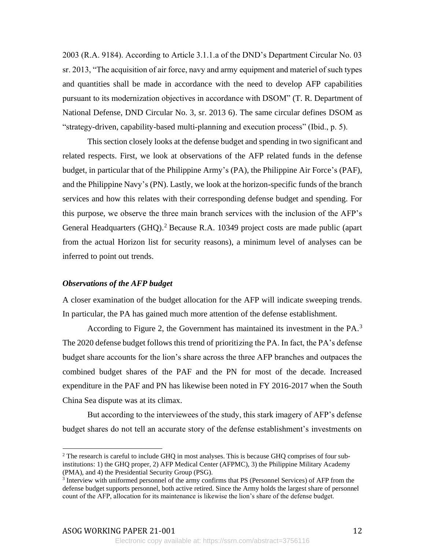2003 (R.A. 9184). According to Article 3.1.1.a of the DND's Department Circular No. 03 sr. 2013, "The acquisition of air force, navy and army equipment and materiel of such types and quantities shall be made in accordance with the need to develop AFP capabilities pursuant to its modernization objectives in accordance with DSOM" (T. R. Department of National Defense, DND Circular No. 3, sr. 2013 6). The same circular defines DSOM as "strategy-driven, capability-based multi-planning and execution process" (Ibid., p. 5).

This section closely looks at the defense budget and spending in two significant and related respects. First, we look at observations of the AFP related funds in the defense budget, in particular that of the Philippine Army's (PA), the Philippine Air Force's (PAF), and the Philippine Navy's (PN). Lastly, we look at the horizon-specific funds of the branch services and how this relates with their corresponding defense budget and spending. For this purpose, we observe the three main branch services with the inclusion of the AFP's General Headquarters (GHQ).<sup>2</sup> Because R.A. 10349 project costs are made public (apart from the actual Horizon list for security reasons), a minimum level of analyses can be inferred to point out trends.

#### *Observations of the AFP budget*

A closer examination of the budget allocation for the AFP will indicate sweeping trends. In particular, the PA has gained much more attention of the defense establishment.

According to Figure 2, the Government has maintained its investment in the PA.<sup>3</sup> The 2020 defense budget follows this trend of prioritizing the PA. In fact, the PA's defense budget share accounts for the lion's share across the three AFP branches and outpaces the combined budget shares of the PAF and the PN for most of the decade. Increased expenditure in the PAF and PN has likewise been noted in FY 2016-2017 when the South China Sea dispute was at its climax.

But according to the interviewees of the study, this stark imagery of AFP's defense budget shares do not tell an accurate story of the defense establishment's investments on

 $2$  The research is careful to include GHQ in most analyses. This is because GHQ comprises of four subinstitutions: 1) the GHQ proper, 2) AFP Medical Center (AFPMC), 3) the Philippine Military Academy (PMA), and 4) the Presidential Security Group (PSG).

<sup>&</sup>lt;sup>3</sup> Interview with uniformed personnel of the army confirms that PS (Personnel Services) of AFP from the defense budget supports personnel, both active retired. Since the Army holds the largest share of personnel count of the AFP, allocation for its maintenance is likewise the lion's share of the defense budget.

Electronic copy available at: https://ssrn.com/abstract=3756116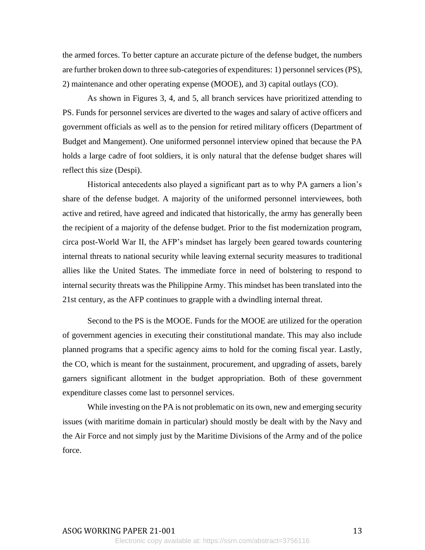the armed forces. To better capture an accurate picture of the defense budget, the numbers are further broken down to three sub-categories of expenditures: 1) personnel services (PS), 2) maintenance and other operating expense (MOOE), and 3) capital outlays (CO).

As shown in Figures 3, 4, and 5, all branch services have prioritized attending to PS. Funds for personnel services are diverted to the wages and salary of active officers and government officials as well as to the pension for retired military officers (Department of Budget and Mangement). One uniformed personnel interview opined that because the PA holds a large cadre of foot soldiers, it is only natural that the defense budget shares will reflect this size (Despi).

Historical antecedents also played a significant part as to why PA garners a lion's share of the defense budget. A majority of the uniformed personnel interviewees, both active and retired, have agreed and indicated that historically, the army has generally been the recipient of a majority of the defense budget. Prior to the fist modernization program, circa post-World War II, the AFP's mindset has largely been geared towards countering internal threats to national security while leaving external security measures to traditional allies like the United States. The immediate force in need of bolstering to respond to internal security threats was the Philippine Army. This mindset has been translated into the 21st century, as the AFP continues to grapple with a dwindling internal threat.

Second to the PS is the MOOE. Funds for the MOOE are utilized for the operation of government agencies in executing their constitutional mandate. This may also include planned programs that a specific agency aims to hold for the coming fiscal year. Lastly, the CO, which is meant for the sustainment, procurement, and upgrading of assets, barely garners significant allotment in the budget appropriation. Both of these government expenditure classes come last to personnel services.

While investing on the PA is not problematic on its own, new and emerging security issues (with maritime domain in particular) should mostly be dealt with by the Navy and the Air Force and not simply just by the Maritime Divisions of the Army and of the police force.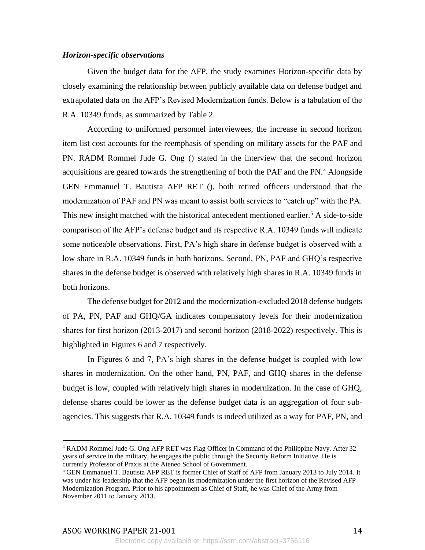## *Horizon-specific observations*

Given the budget data for the AFP, the study examines Horizon-specific data by closely examining the relationship between publicly available data on defense budget and extrapolated data on the AFP's Revised Modernization funds. Below is a tabulation of the R.A. 10349 funds, as summarized by Table 2.

According to uniformed personnel interviewees, the increase in second horizon item list cost accounts for the reemphasis of spending on military assets for the PAF and PN. RADM Rommel Jude G. Ong () stated in the interview that the second horizon acquisitions are geared towards the strengthening of both the PAF and the PN.<sup>4</sup> Alongside GEN Emmanuel T. Bautista AFP RET (), both retired officers understood that the modernization of PAF and PN was meant to assist both services to "catch up" with the PA. This new insight matched with the historical antecedent mentioned earlier.<sup>5</sup> A side-to-side comparison of the AFP's defense budget and its respective R.A. 10349 funds will indicate some noticeable observations. First, PA's high share in defense budget is observed with a low share in R.A. 10349 funds in both horizons. Second, PN, PAF and GHQ's respective shares in the defense budget is observed with relatively high shares in R.A. 10349 funds in both horizons.

The defense budget for 2012 and the modernization-excluded 2018 defense budgets of PA, PN, PAF and GHQ/GA indicates compensatory levels for their modernization shares for first horizon (2013-2017) and second horizon (2018-2022) respectively. This is highlighted in Figures 6 and 7 respectively.

In Figures 6 and 7, PA's high shares in the defense budget is coupled with low shares in modernization. On the other hand, PN, PAF, and GHQ shares in the defense budget is low, coupled with relatively high shares in modernization. In the case of GHQ, defense shares could be lower as the defense budget data is an aggregation of four subagencies. This suggests that R.A. 10349 funds is indeed utilized as a way for PAF, PN, and

ASOG WORKING PAPER 21-001 24

<sup>4</sup> RADM Rommel Jude G. Ong AFP RET was Flag Officer in Command of the Philippine Navy. After 32 years of service in the military, he engages the public through the Security Reform Initiative. He is currently Professor of Praxis at the Ateneo School of Government.

<sup>&</sup>lt;sup>5</sup> GEN Emmanuel T. Bautista AFP RET is former Chief of Staff of AFP from January 2013 to July 2014. It was under his leadership that the AFP began its modernization under the first horizon of the Revised AFP Modernization Program. Prior to his appointment as Chief of Staff, he was Chief of the Army from November 2011 to January 2013.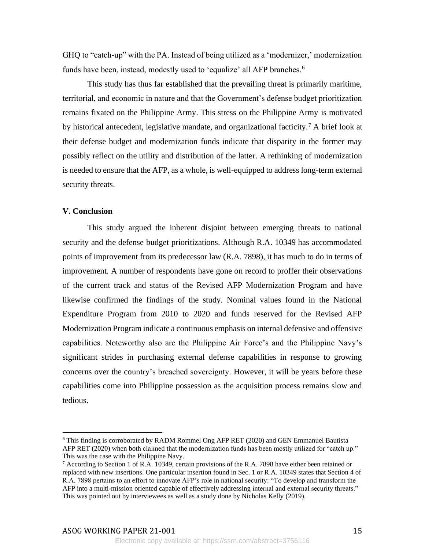GHQ to "catch-up" with the PA. Instead of being utilized as a 'modernizer,' modernization funds have been, instead, modestly used to 'equalize' all AFP branches.<sup>6</sup>

This study has thus far established that the prevailing threat is primarily maritime, territorial, and economic in nature and that the Government's defense budget prioritization remains fixated on the Philippine Army. This stress on the Philippine Army is motivated by historical antecedent, legislative mandate, and organizational facticity.<sup>7</sup> A brief look at their defense budget and modernization funds indicate that disparity in the former may possibly reflect on the utility and distribution of the latter. A rethinking of modernization is needed to ensure that the AFP, as a whole, is well-equipped to address long-term external security threats.

#### **V. Conclusion**

This study argued the inherent disjoint between emerging threats to national security and the defense budget prioritizations. Although R.A. 10349 has accommodated points of improvement from its predecessor law (R.A. 7898), it has much to do in terms of improvement. A number of respondents have gone on record to proffer their observations of the current track and status of the Revised AFP Modernization Program and have likewise confirmed the findings of the study. Nominal values found in the National Expenditure Program from 2010 to 2020 and funds reserved for the Revised AFP Modernization Program indicate a continuous emphasis on internal defensive and offensive capabilities. Noteworthy also are the Philippine Air Force's and the Philippine Navy's significant strides in purchasing external defense capabilities in response to growing concerns over the country's breached sovereignty. However, it will be years before these capabilities come into Philippine possession as the acquisition process remains slow and tedious.

ASOG WORKING PAPER 21-001 15

<sup>6</sup> This finding is corroborated by RADM Rommel Ong AFP RET (2020) and GEN Emmanuel Bautista AFP RET (2020) when both claimed that the modernization funds has been mostly utilized for "catch up." This was the case with the Philippine Navy.

 $7$  According to Section 1 of R.A. 10349, certain provisions of the R.A. 7898 have either been retained or replaced with new insertions. One particular insertion found in Sec. 1 or R.A. 10349 states that Section 4 of R.A. 7898 pertains to an effort to innovate AFP's role in national security: "To develop and transform the AFP into a multi-mission oriented capable of effectively addressing internal and external security threats." This was pointed out by interviewees as well as a study done by Nicholas Kelly (2019).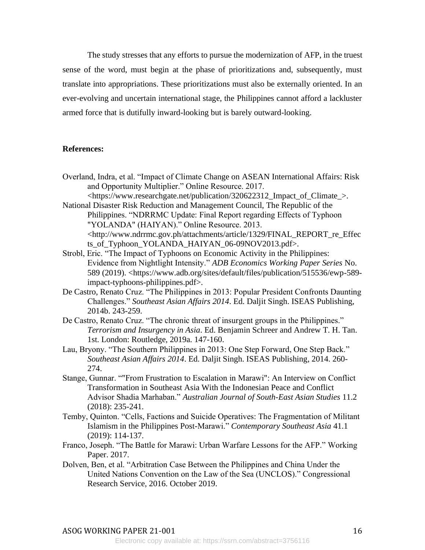The study stresses that any efforts to pursue the modernization of AFP, in the truest sense of the word, must begin at the phase of prioritizations and, subsequently, must translate into appropriations. These prioritizations must also be externally oriented. In an ever-evolving and uncertain international stage, the Philippines cannot afford a lackluster armed force that is dutifully inward-looking but is barely outward-looking.

#### **References:**

- Overland, Indra, et al. "Impact of Climate Change on ASEAN International Affairs: Risk and Opportunity Multiplier." Online Resource. 2017. <https://www.researchgate.net/publication/320622312\_Impact\_of\_Climate\_>.
- National Disaster Risk Reduction and Management Council, The Republic of the Philippines. "NDRRMC Update: Final Report regarding Effects of Typhoon "YOLANDA" (HAIYAN)." Online Resource. 2013. <http://www.ndrrmc.gov.ph/attachments/article/1329/FINAL\_REPORT\_re\_Effec ts\_of\_Typhoon\_YOLANDA\_HAIYAN\_06-09NOV2013.pdf>.
- Strobl, Eric. "The Impact of Typhoons on Economic Activity in the Philippines: Evidence from Nightlight Intensity." *ADB Economics Working Paper Series* No. 589 (2019). <https://www.adb.org/sites/default/files/publication/515536/ewp-589 impact-typhoons-philippines.pdf>.
- De Castro, Renato Cruz. "The Philippines in 2013: Popular President Confronts Daunting Challenges." *Southeast Asian Affairs 2014*. Ed. Daljit Singh. ISEAS Publishing, 2014b. 243-259.
- De Castro, Renato Cruz. "The chronic threat of insurgent groups in the Philippines." *Terrorism and Insurgency in Asia*. Ed. Benjamin Schreer and Andrew T. H. Tan. 1st. London: Routledge, 2019a. 147-160.
- Lau, Bryony. "The Southern Philippines in 2013: One Step Forward, One Step Back." *Southeast Asian Affairs 2014*. Ed. Daljit Singh. ISEAS Publishing, 2014. 260- 274.
- Stange, Gunnar. ""From Frustration to Escalation in Marawi": An Interview on Conflict Transformation in Southeast Asia With the Indonesian Peace and Conflict Advisor Shadia Marhaban." *Australian Journal of South-East Asian Studies* 11.2 (2018): 235-241.
- Temby, Quinton. "Cells, Factions and Suicide Operatives: The Fragmentation of Militant Islamism in the Philippines Post-Marawi." *Contemporary Southeast Asia* 41.1 (2019): 114-137.
- Franco, Joseph. "The Battle for Marawi: Urban Warfare Lessons for the AFP." Working Paper. 2017.
- Dolven, Ben, et al. "Arbitration Case Between the Philippines and China Under the United Nations Convention on the Law of the Sea (UNCLOS)." Congressional Research Service, 2016. October 2019.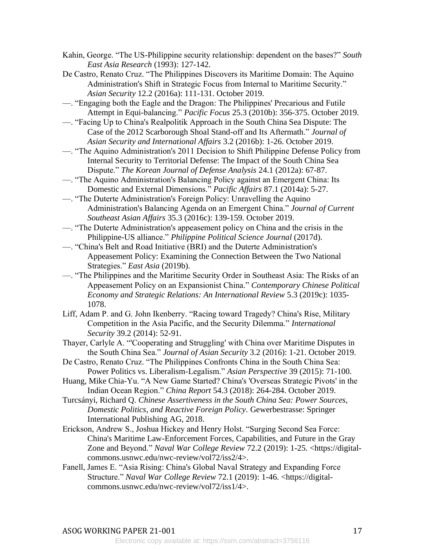- Kahin, George. "The US-Philippine security relationship: dependent on the bases?" *South East Asia Research* (1993): 127-142.
- De Castro, Renato Cruz. "The Philippines Discovers its Maritime Domain: The Aquino Administration's Shift in Strategic Focus from Internal to Maritime Security." *Asian Security* 12.2 (2016a): 111-131. October 2019.
- —. "Engaging both the Eagle and the Dragon: The Philippines' Precarious and Futile Attempt in Equi-balancing." *Pacific Focus* 25.3 (2010b): 356-375. October 2019.
- —. "Facing Up to China's Realpolitik Approach in the South China Sea Dispute: The Case of the 2012 Scarborough Shoal Stand-off and Its Aftermath." *Journal of Asian Security and International Affairs* 3.2 (2016b): 1-26. October 2019.
- —. "The Aquino Administration's 2011 Decision to Shift Philippine Defense Policy from Internal Security to Territorial Defense: The Impact of the South China Sea Dispute." *The Korean Journal of Defense Analysis* 24.1 (2012a): 67-87.
- —. "The Aquino Administration's Balancing Policy against an Emergent China: Its Domestic and External Dimensions." *Pacific Affairs* 87.1 (2014a): 5-27.
- —. "The Duterte Administration's Foreign Policy: Unravelling the Aquino Administration's Balancing Agenda on an Emergent China." *Journal of Current Southeast Asian Affairs* 35.3 (2016c): 139-159. October 2019.
- —. "The Duterte Administration's appeasement policy on China and the crisis in the Philippine-US alliance." *Philippine Political Science Journal* (2017d).
- —. "China's Belt and Road Initiative (BRI) and the Duterte Administration's Appeasement Policy: Examining the Connection Between the Two National Strategies." *East Asia* (2019b).
- —. "The Philippines and the Maritime Security Order in Southeast Asia: The Risks of an Appeasement Policy on an Expansionist China." *Contemporary Chinese Political Economy and Strategic Relations: An International Review* 5.3 (2019c): 1035- 1078.
- Liff, Adam P. and G. John Ikenberry. "Racing toward Tragedy? China's Rise, Military Competition in the Asia Pacific, and the Security Dilemma." *International Security* 39.2 (2014): 52-91.
- Thayer, Carlyle A. "'Cooperating and Struggling' with China over Maritime Disputes in the South China Sea." *Journal of Asian Security* 3.2 (2016): 1-21. October 2019.
- De Castro, Renato Cruz. "The Philippines Confronts China in the South China Sea: Power Politics vs. Liberalism-Legalism." *Asian Perspective* 39 (2015): 71-100.
- Huang, Mike Chia-Yu. "A New Game Started? China's 'Overseas Strategic Pivots' in the Indian Ocean Region." *China Report* 54.3 (2018): 264-284. October 2019.
- Turcsányi, Richard Q. *Chinese Assertiveness in the South China Sea: Power Sources, Domestic Politics, and Reactive Foreign Policy*. Gewerbestrasse: Springer International Publishing AG, 2018.
- Erickson, Andrew S., Joshua Hickey and Henry Holst. "Surging Second Sea Force: China's Maritime Law-Enforcement Forces, Capabilities, and Future in the Gray Zone and Beyond." *Naval War College Review* 72.2 (2019): 1-25. <https://digitalcommons.usnwc.edu/nwc-review/vol72/iss2/4>.
- Fanell, James E. "Asia Rising: China's Global Naval Strategy and Expanding Force Structure." *Naval War College Review* 72.1 (2019): 1-46. <https://digitalcommons.usnwc.edu/nwc-review/vol72/iss1/4>.

Electronic copy available at: https://ssrn.com/abstract=3756116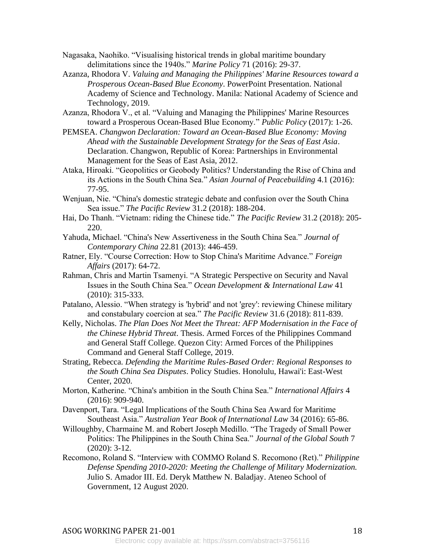Nagasaka, Naohiko. "Visualising historical trends in global maritime boundary delimitations since the 1940s." *Marine Policy* 71 (2016): 29-37.

- Azanza, Rhodora V. *Valuing and Managing the Philippines' Marine Resources toward a Prosperous Ocean-Based Blue Economy*. PowerPoint Presentation. National Academy of Science and Technology. Manila: National Academy of Science and Technology, 2019.
- Azanza, Rhodora V., et al. "Valuing and Managing the Philippines' Marine Resources toward a Prosperous Ocean-Based Blue Economy." *Public Policy* (2017): 1-26.
- PEMSEA. *Changwon Declaration: Toward an Ocean-Based Blue Economy: Moving Ahead with the Sustainable Development Strategy for the Seas of East Asia*. Declaration. Changwon, Republic of Korea: Partnerships in Environmental Management for the Seas of East Asia, 2012.
- Ataka, Hiroaki. "Geopolitics or Geobody Politics? Understanding the Rise of China and its Actions in the South China Sea." *Asian Journal of Peacebuilding* 4.1 (2016): 77-95.
- Wenjuan, Nie. "China's domestic strategic debate and confusion over the South China Sea issue." *The Pacific Review* 31.2 (2018): 188-204.
- Hai, Do Thanh. "Vietnam: riding the Chinese tide." *The Pacific Review* 31.2 (2018): 205- 220.
- Yahuda, Michael. "China's New Assertiveness in the South China Sea." *Journal of Contemporary China* 22.81 (2013): 446-459.
- Ratner, Ely. "Course Correction: How to Stop China's Maritime Advance." *Foreign Affairs* (2017): 64-72.
- Rahman, Chris and Martin Tsamenyi. "A Strategic Perspective on Security and Naval Issues in the South China Sea." *Ocean Development & International Law* 41 (2010): 315-333.
- Patalano, Alessio. "When strategy is 'hybrid' and not 'grey': reviewing Chinese military and constabulary coercion at sea." *The Pacific Review* 31.6 (2018): 811-839.
- Kelly, Nicholas. *The Plan Does Not Meet the Threat: AFP Modernisation in the Face of the Chinese Hybrid Threat*. Thesis. Armed Forces of the Philippines Command and General Staff College. Quezon City: Armed Forces of the Philippines Command and General Staff College, 2019.
- Strating, Rebecca. *Defending the Maritime Rules-Based Order: Regional Responses to the South China Sea Disputes*. Policy Studies. Honolulu, Hawai'i: East-West Center, 2020.
- Morton, Katherine. "China's ambition in the South China Sea." *International Affairs* 4 (2016): 909-940.
- Davenport, Tara. "Legal Implications of the South China Sea Award for Maritime Southeast Asia." *Australian Year Book of International Law* 34 (2016): 65-86.
- Willoughby, Charmaine M. and Robert Joseph Medillo. "The Tragedy of Small Power Politics: The Philippines in the South China Sea." *Journal of the Global South* 7 (2020): 3-12.
- Recomono, Roland S. "Interview with COMMO Roland S. Recomono (Ret)." *Philippine Defense Spending 2010-2020: Meeting the Challenge of Military Modernization.* Julio S. Amador III. Ed. Deryk Matthew N. Baladjay. Ateneo School of Government, 12 August 2020.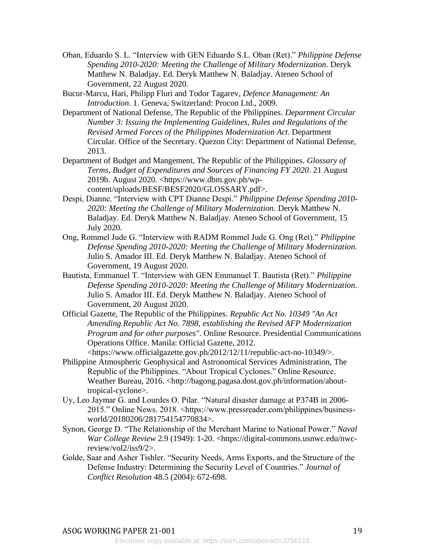- Oban, Eduardo S. L. "Interview with GEN Eduardo S.L. Oban (Ret)." *Philippine Defense Spending 2010-2020: Meeting the Challenge of Military Modernization.* Deryk Matthew N. Baladjay. Ed. Deryk Matthew N. Baladjay. Ateneo School of Government, 22 August 2020.
- Bucur-Marcu, Hari, Philipp Fluri and Todor Tagarev, *Defence Management: An Introduction*. 1. Geneva, Switzerland: Procon Ltd., 2009.
- Department of National Defense, The Republic of the Philippines. *Department Circular Number 3: Issuing the Implementing Guidelines, Rules and Regulations of the Revised Armed Forces of the Philippines Modernization Act*. Department Circular. Office of the Secretary. Quezon City: Department of National Defense, 2013.
- Department of Budget and Mangement, The Republic of the Philippines. *Glossary of Terms, Budget of Expenditures and Sources of Financing FY 2020*. 21 August 2019b. August 2020. <https://www.dbm.gov.ph/wpcontent/uploads/BESF/BESF2020/GLOSSARY.pdf>.
- Despi, Dianne. "Interview with CPT Dianne Despi." *Philippine Defense Spending 2010- 2020: Meeting the Challenge of Military Modernization.* Deryk Matthew N. Baladjay. Ed. Deryk Matthew N. Baladjay. Ateneo School of Government, 15 July 2020.
- Ong, Rommel Jude G. "Interview with RADM Rommel Jude G. Ong (Ret)." *Philippine Defense Spending 2010-2020: Meeting the Challenge of Military Modernization.* Julio S. Amador III. Ed. Deryk Matthew N. Baladjay. Ateneo School of Government, 19 August 2020.
- Bautista, Emmanuel T. "Interview with GEN Emmanuel T. Bautista (Ret)." *Philippine Defense Spending 2010-2020: Meeting the Challenge of Military Modernization.* Julio S. Amador III. Ed. Deryk Matthew N. Baladjay. Ateneo School of Government, 20 August 2020.
- Official Gazette, The Republic of the Philippines. *Republic Act No. 10349 "An Act Amending Republic Act No. 7898, establishing the Revised AFP Modernization Program and for other purposes"*. Online Resource. Presidential Communications Operations Office. Manila: Official Gazette, 2012.

<https://www.officialgazette.gov.ph/2012/12/11/republic-act-no-10349/>.

- Philippine Atmospheric Geophysical and Astronomical Services Administration, The Republic of the Philippines. "About Tropical Cyclones." Online Resource. Weather Bureau, 2016. <http://bagong.pagasa.dost.gov.ph/information/abouttropical-cyclone>.
- Uy, Leo Jaymar G. and Lourdes O. Pilar. "Natural disaster damage at P374B in 2006- 2015." Online News. 2018. <https://www.pressreader.com/philippines/businessworld/20180206/281754154770834>.
- Synon, George D. "The Relationship of the Merchant Marine to National Power." *Naval War College Review* 2.9 (1949): 1-20. <https://digital-commons.usnwc.edu/nwcreview/vol2/iss9/2>.
- Golde, Saar and Asher Tishler. "Security Needs, Arms Exports, and the Structure of the Defense Industry: Determining the Security Level of Countries." *Journal of Conflict Resolution* 48.5 (2004): 672-698.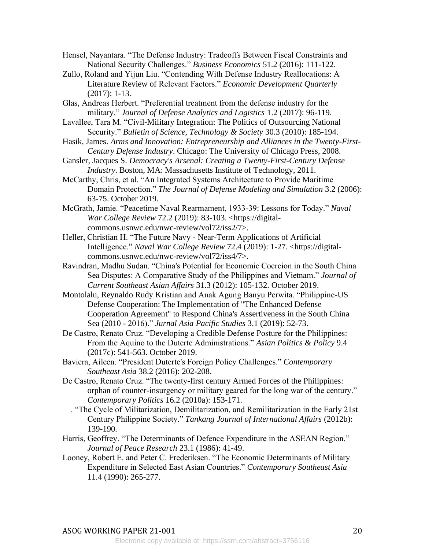- Hensel, Nayantara. "The Defense Industry: Tradeoffs Between Fiscal Constraints and National Security Challenges." *Business Economics* 51.2 (2016): 111-122.
- Zullo, Roland and Yijun Liu. "Contending With Defense Industry Reallocations: A Literature Review of Relevant Factors." *Economic Development Quarterly* (2017): 1-13.
- Glas, Andreas Herbert. "Preferential treatment from the defense industry for the military." *Journal of Defense Analytics and Logistics* 1.2 (2017): 96-119.
- Lavallee, Tara M. "Civil-Military Integration: The Politics of Outsourcing National Security." *Bulletin of Science, Technology & Society* 30.3 (2010): 185-194.
- Hasik, James. *Arms and Innovation: Entrepreneurship and Alliances in the Twenty-First-Century Defense Industry*. Chicago: The University of Chicago Press, 2008.
- Gansler, Jacques S. *Democracy's Arsenal: Creating a Twenty-First-Century Defense Industry*. Boston, MA: Massachusetts Institute of Technology, 2011.
- McCarthy, Chris, et al. "An Integrated Systems Architecture to Provide Maritime Domain Protection." *The Journal of Defense Modeling and Simulation* 3.2 (2006): 63-75. October 2019.
- McGrath, Jamie. "Peacetime Naval Rearmament, 1933-39: Lessons for Today." *Naval War College Review* 72.2 (2019): 83-103. <https://digitalcommons.usnwc.edu/nwc-review/vol72/iss2/7>.
- Heller, Christian H. "The Future Navy Near-Term Applications of Artificial Intelligence." *Naval War College Review* 72.4 (2019): 1-27. <https://digitalcommons.usnwc.edu/nwc-review/vol72/iss4/7>.
- Ravindran, Madhu Sudan. "China's Potential for Economic Coercion in the South China Sea Disputes: A Comparative Study of the Philippines and Vietnam." *Journal of Current Southeast Asian Affairs* 31.3 (2012): 105-132. October 2019.
- Montolalu, Reynaldo Rudy Kristian and Anak Agung Banyu Perwita. "Philippine-US Defense Cooperation: The Implementation of "The Enhanced Defense Cooperation Agreement" to Respond China's Assertiveness in the South China Sea (2010 - 2016)." *Jurnal Asia Pacific Studies* 3.1 (2019): 52-73.
- De Castro, Renato Cruz. "Developing a Credible Defense Posture for the Philippines: From the Aquino to the Duterte Administrations." *Asian Politics & Policy* 9.4 (2017c): 541-563. October 2019.
- Baviera, Aileen. "President Duterte's Foreign Policy Challenges." *Contemporary Southeast Asia* 38.2 (2016): 202-208.
- De Castro, Renato Cruz. "The twenty-first century Armed Forces of the Philippines: orphan of counter-insurgency or military geared for the long war of the century." *Contemporary Politics* 16.2 (2010a): 153-171.
- —. "The Cycle of Militarization, Demilitarization, and Remilitarization in the Early 21st Century Philippine Society." *Tankang Journal of International Affairs* (2012b): 139-190.
- Harris, Geoffrey. "The Determinants of Defence Expenditure in the ASEAN Region." *Journal of Peace Research* 23.1 (1986): 41-49.
- Looney, Robert E. and Peter C. Frederiksen. "The Economic Determinants of Military Expenditure in Selected East Asian Countries." *Contemporary Southeast Asia* 11.4 (1990): 265-277.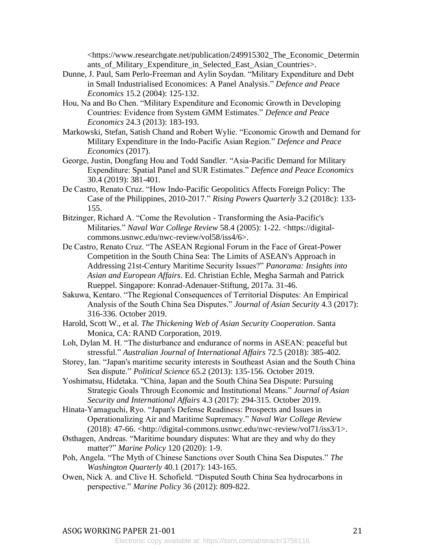<https://www.researchgate.net/publication/249915302\_The\_Economic\_Determin ants\_of\_Military\_Expenditure\_in\_Selected\_East\_Asian\_Countries>.

- Dunne, J. Paul, Sam Perlo-Freeman and Aylin Soydan. "Military Expenditure and Debt in Small Industrialised Economices: A Panel Analysis." *Defence and Peace Economics* 15.2 (2004): 125-132.
- Hou, Na and Bo Chen. "Military Expenditure and Economic Growth in Developing Countries: Evidence from System GMM Estimates." *Defence and Peace Economics* 24.3 (2013): 183-193.
- Markowski, Stefan, Satish Chand and Robert Wylie. "Economic Growth and Demand for Military Expenditure in the Indo-Pacific Asian Region." *Defence and Peace Economics* (2017).
- George, Justin, Dongfang Hou and Todd Sandler. "Asia-Pacific Demand for Military Expenditure: Spatial Panel and SUR Estimates." *Defence and Peace Economics* 30.4 (2019): 381-401.
- De Castro, Renato Cruz. "How Indo-Pacific Geopolitics Affects Foreign Policy: The Case of the Philippines, 2010-2017." *Rising Powers Quarterly* 3.2 (2018c): 133- 155.
- Bitzinger, Richard A. "Come the Revolution Transforming the Asia-Pacific's Militaries." *Naval War College Review* 58.4 (2005): 1-22. <https://digitalcommons.usnwc.edu/nwc-review/vol58/iss4/6>.
- De Castro, Renato Cruz. "The ASEAN Regional Forum in the Face of Great-Power Competition in the South China Sea: The Limits of ASEAN's Approach in Addressing 21st-Century Maritime Security Issues?" *Panorama: Insights into Asian and European Affairs*. Ed. Christian Echle, Megha Sarmah and Patrick Rueppel. Singapore: Konrad-Adenauer-Stiftung, 2017a. 31-46.
- Sakuwa, Kentaro. "The Regional Consequences of Territorial Disputes: An Empirical Analysis of the South China Sea Disputes." *Journal of Asian Security* 4.3 (2017): 316-336. October 2019.
- Harold, Scott W., et al. *The Thickening Web of Asian Security Cooperation*. Santa Monica, CA: RAND Corporation, 2019.
- Loh, Dylan M. H. "The disturbance and endurance of norms in ASEAN: peaceful but stressful." *Australian Journal of International Affairs* 72.5 (2018): 385-402.
- Storey, Ian. "Japan's maritime security interests in Southeast Asian and the South China Sea dispute." *Political Science* 65.2 (2013): 135-156. October 2019.
- Yoshimatsu, Hidetaka. "China, Japan and the South China Sea Dispute: Pursuing Strategic Goals Through Economic and Institutional Means." *Journal of Asian Security and International Affairs* 4.3 (2017): 294-315. October 2019.
- Hinata-Yamaguchi, Ryo. "Japan's Defense Readiness: Prospects and Issues in Operationalizing Air and Maritime Supremacy." *Naval War College Review* (2018): 47-66. <http://digital-commons.usnwc.edu/nwc-review/vol71/iss $3/1$ >.
- Østhagen, Andreas. "Maritime boundary disputes: What are they and why do they matter?" *Marine Policy* 120 (2020): 1-9.
- Poh, Angela. "The Myth of Chinese Sanctions over South China Sea Disputes." *The Washington Quarterly* 40.1 (2017): 143-165.
- Owen, Nick A. and Clive H. Schofield. "Disputed South China Sea hydrocarbons in perspective." *Marine Policy* 36 (2012): 809-822.

## ASOG WORKING PAPER 21-001 21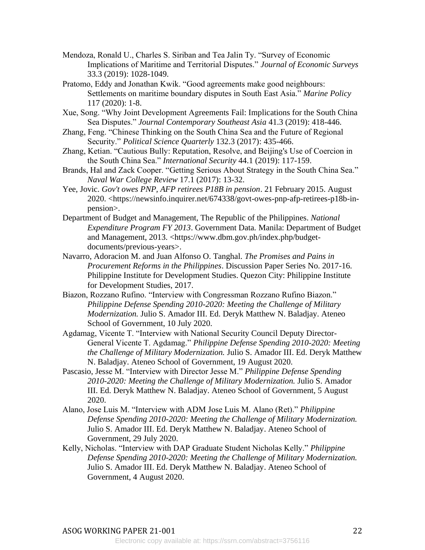- Mendoza, Ronald U., Charles S. Siriban and Tea Jalin Ty. "Survey of Economic Implications of Maritime and Territorial Disputes." *Journal of Economic Surveys* 33.3 (2019): 1028-1049.
- Pratomo, Eddy and Jonathan Kwik. "Good agreements make good neighbours: Settlements on maritime boundary disputes in South East Asia." *Marine Policy* 117 (2020): 1-8.
- Xue, Song. "Why Joint Development Agreements Fail: Implications for the South China Sea Disputes." *Journal Contemporary Southeast Asia* 41.3 (2019): 418-446.
- Zhang, Feng. "Chinese Thinking on the South China Sea and the Future of Regional Security." *Political Science Quarterly* 132.3 (2017): 435-466.
- Zhang, Ketian. "Cautious Bully: Reputation, Resolve, and Beijing's Use of Coercion in the South China Sea." *International Security* 44.1 (2019): 117-159.
- Brands, Hal and Zack Cooper. "Getting Serious About Strategy in the South China Sea." *Naval War College Review* 17.1 (2017): 13-32.
- Yee, Jovic. *Gov't owes PNP, AFP retirees P18B in pension*. 21 February 2015. August 2020. <https://newsinfo.inquirer.net/674338/govt-owes-pnp-afp-retirees-p18b-inpension>.
- Department of Budget and Management, The Republic of the Philippines. *National Expenditure Program FY 2013*. Government Data. Manila: Department of Budget and Management, 2013. <https://www.dbm.gov.ph/index.php/budgetdocuments/previous-years>.
- Navarro, Adoracion M. and Juan Alfonso O. Tanghal. *The Promises and Pains in Procurement Reforms in the Philippines*. Discussion Paper Series No. 2017-16. Philippine Institute for Development Studies. Quezon City: Philippine Institute for Development Studies, 2017.
- Biazon, Rozzano Rufino. "Interview with Congressman Rozzano Rufino Biazon." *Philippine Defense Spending 2010-2020: Meeting the Challenge of Military Modernization.* Julio S. Amador III. Ed. Deryk Matthew N. Baladjay. Ateneo School of Government, 10 July 2020.
- Agdamag, Vicente T. "Interview with National Security Council Deputy Director-General Vicente T. Agdamag." *Philippine Defense Spending 2010-2020: Meeting the Challenge of Military Modernization.* Julio S. Amador III. Ed. Deryk Matthew N. Baladjay. Ateneo School of Government, 19 August 2020.
- Pascasio, Jesse M. "Interview with Director Jesse M." *Philippine Defense Spending 2010-2020: Meeting the Challenge of Military Modernization.* Julio S. Amador III. Ed. Deryk Matthew N. Baladjay. Ateneo School of Government, 5 August 2020.
- Alano, Jose Luis M. "Interview with ADM Jose Luis M. Alano (Ret)." *Philippine Defense Spending 2010-2020: Meeting the Challenge of Military Modernization.* Julio S. Amador III. Ed. Deryk Matthew N. Baladjay. Ateneo School of Government, 29 July 2020.
- Kelly, Nicholas. "Interview with DAP Graduate Student Nicholas Kelly." *Philippine Defense Spending 2010-2020: Meeting the Challenge of Military Modernization.* Julio S. Amador III. Ed. Deryk Matthew N. Baladjay. Ateneo School of Government, 4 August 2020.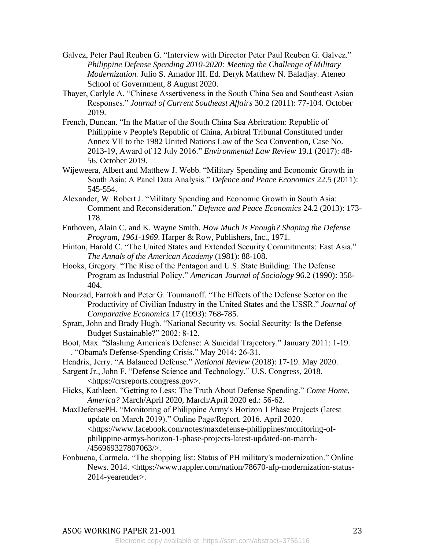- Galvez, Peter Paul Reuben G. "Interview with Director Peter Paul Reuben G. Galvez." *Philippine Defense Spending 2010-2020: Meeting the Challenge of Military Modernization.* Julio S. Amador III. Ed. Deryk Matthew N. Baladjay. Ateneo School of Government, 8 August 2020.
- Thayer, Carlyle A. "Chinese Assertiveness in the South China Sea and Southeast Asian Responses." *Journal of Current Southeast Affairs* 30.2 (2011): 77-104. October 2019.
- French, Duncan. "In the Matter of the South China Sea Abritration: Republic of Philippine v People's Republic of China, Arbitral Tribunal Constituted under Annex VII to the 1982 United Nations Law of the Sea Convention, Case No. 2013-19, Award of 12 July 2016." *Environmental Law Review* 19.1 (2017): 48- 56. October 2019.
- Wijeweera, Albert and Matthew J. Webb. "Military Spending and Economic Growth in South Asia: A Panel Data Analysis." *Defence and Peace Economics* 22.5 (2011): 545-554.
- Alexander, W. Robert J. "Military Spending and Economic Growth in South Asia: Comment and Reconsideration." *Defence and Peace Economics* 24.2 (2013): 173- 178.
- Enthoven, Alain C. and K. Wayne Smith. *How Much Is Enough? Shaping the Defense Program, 1961-1969*. Harper & Row, Publishers, Inc., 1971.
- Hinton, Harold C. "The United States and Extended Security Commitments: East Asia." *The Annals of the American Academy* (1981): 88-108.
- Hooks, Gregory. "The Rise of the Pentagon and U.S. State Building: The Defense Program as Industrial Policy." *American Journal of Sociology* 96.2 (1990): 358- 404.
- Nourzad, Farrokh and Peter G. Toumanoff. "The Effects of the Defense Sector on the Productivity of Civilian Industry in the United States and the USSR." *Journal of Comparative Economics* 17 (1993): 768-785.
- Spratt, John and Brady Hugh. "National Security vs. Social Security: Is the Defense Budget Sustainable?" 2002: 8-12.
- Boot, Max. "Slashing America's Defense: A Suicidal Trajectory." January 2011: 1-19. —. "Obama's Defense-Spending Crisis." May 2014: 26-31.
- Hendrix, Jerry. "A Balanced Defense." *National Review* (2018): 17-19. May 2020.
- Sargent Jr., John F. "Defense Science and Technology." U.S. Congress, 2018. <https://crsreports.congress.gov>.
- Hicks, Kathleen. "Getting to Less: The Truth About Defense Spending." *Come Home, America?* March/April 2020, March/April 2020 ed.: 56-62.
- MaxDefensePH. "Monitoring of Philippine Army's Horizon 1 Phase Projects (latest update on March 2019)." Online Page/Report. 2016. April 2020. <https://www.facebook.com/notes/maxdefense-philippines/monitoring-ofphilippine-armys-horizon-1-phase-projects-latest-updated-on-march- /456969327807063/>.
- Fonbuena, Carmela. "The shopping list: Status of PH military's modernization." Online News. 2014. <https://www.rappler.com/nation/78670-afp-modernization-status-2014-yearender>.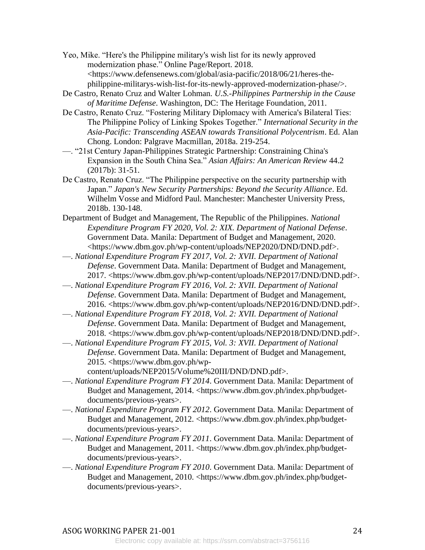Yeo, Mike. "Here's the Philippine military's wish list for its newly approved modernization phase." Online Page/Report. 2018. <https://www.defensenews.com/global/asia-pacific/2018/06/21/heres-thephilippine-militarys-wish-list-for-its-newly-approved-modernization-phase/>.

- De Castro, Renato Cruz and Walter Lohman. *U.S.-Philippines Partnership in the Cause of Maritime Defense*. Washington, DC: The Heritage Foundation, 2011.
- De Castro, Renato Cruz. "Fostering Military Diplomacy with America's Bilateral Ties: The Philippine Policy of Linking Spokes Together." *International Security in the Asia-Pacific: Transcending ASEAN towards Transitional Polycentrism*. Ed. Alan Chong. London: Palgrave Macmillan, 2018a. 219-254.
- —. "21st Century Japan-Philippines Strategic Partnership: Constraining China's Expansion in the South China Sea." *Asian Affairs: An American Review* 44.2 (2017b): 31-51.
- De Castro, Renato Cruz. "The Philippine perspective on the security partnership with Japan." *Japan's New Security Partnerships: Beyond the Security Alliance*. Ed. Wilhelm Vosse and Midford Paul. Manchester: Manchester University Press, 2018b. 130-148.
- Department of Budget and Management, The Republic of the Philippines. *National Expenditure Program FY 2020, Vol. 2: XIX. Department of National Defense*. Government Data. Manila: Department of Budget and Management, 2020. <https://www.dbm.gov.ph/wp-content/uploads/NEP2020/DND/DND.pdf>.
- —. *National Expenditure Program FY 2017, Vol. 2: XVII. Department of National Defense*. Government Data. Manila: Department of Budget and Management, 2017. <https://www.dbm.gov.ph/wp-content/uploads/NEP2017/DND/DND.pdf>.
- —. *National Expenditure Program FY 2016, Vol. 2: XVII. Department of National Defense*. Government Data. Manila: Department of Budget and Management, 2016. <https://www.dbm.gov.ph/wp-content/uploads/NEP2016/DND/DND.pdf>.
- —. *National Expenditure Program FY 2018, Vol. 2: XVII. Department of National Defense*. Government Data. Manila: Department of Budget and Management, 2018. <https://www.dbm.gov.ph/wp-content/uploads/NEP2018/DND/DND.pdf>.
- —. *National Expenditure Program FY 2015, Vol. 3: XVII. Department of National Defense*. Government Data. Manila: Department of Budget and Management, 2015. <https://www.dbm.gov.ph/wp-

content/uploads/NEP2015/Volume%20III/DND/DND.pdf>.

- —. *National Expenditure Program FY 2014*. Government Data. Manila: Department of Budget and Management, 2014. <https://www.dbm.gov.ph/index.php/budgetdocuments/previous-years>.
- —. *National Expenditure Program FY 2012*. Government Data. Manila: Department of Budget and Management, 2012. <https://www.dbm.gov.ph/index.php/budgetdocuments/previous-years>.
- —. *National Expenditure Program FY 2011*. Government Data. Manila: Department of Budget and Management, 2011. <https://www.dbm.gov.ph/index.php/budgetdocuments/previous-years>.
- —. *National Expenditure Program FY 2010*. Government Data. Manila: Department of Budget and Management, 2010. <https://www.dbm.gov.ph/index.php/budgetdocuments/previous-years>.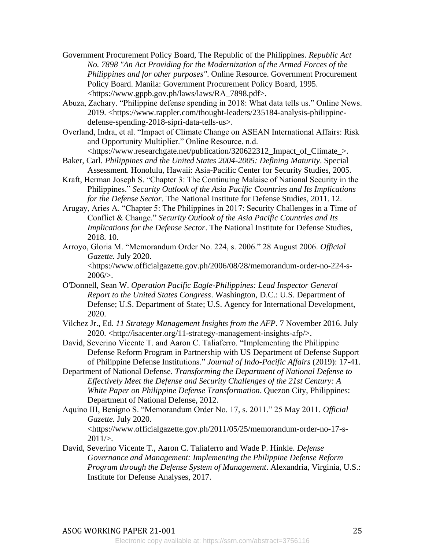Government Procurement Policy Board, The Republic of the Philippines. *Republic Act No. 7898 "An Act Providing for the Modernization of the Armed Forces of the Philippines and for other purposes"*. Online Resource. Government Procurement Policy Board. Manila: Government Procurement Policy Board, 1995. <https://www.gppb.gov.ph/laws/laws/RA\_7898.pdf>.

- Abuza, Zachary. "Philippine defense spending in 2018: What data tells us." Online News. 2019. <https://www.rappler.com/thought-leaders/235184-analysis-philippinedefense-spending-2018-sipri-data-tells-us>.
- Overland, Indra, et al. "Impact of Climate Change on ASEAN International Affairs: Risk and Opportunity Multiplier." Online Resource. n.d. <https://www.researchgate.net/publication/320622312\_Impact\_of\_Climate\_>.
- Baker, Carl. *Philippines and the United States 2004-2005: Defining Maturity*. Special Assessment. Honolulu, Hawaii: Asia-Pacific Center for Security Studies, 2005.
- Kraft, Herman Joseph S. "Chapter 3: The Continuing Malaise of National Security in the Philippines." *Security Outlook of the Asia Pacific Countries and Its Implications for the Defense Sector*. The National Institute for Defense Studies, 2011. 12.
- Arugay, Aries A. "Chapter 5: The Philippines in 2017: Security Challenges in a Time of Conflict & Change." *Security Outlook of the Asia Pacific Countries and Its Implications for the Defense Sector*. The National Institute for Defense Studies, 2018. 10.
- Arroyo, Gloria M. "Memorandum Order No. 224, s. 2006." 28 August 2006. *Official Gazette.* July 2020. <https://www.officialgazette.gov.ph/2006/08/28/memorandum-order-no-224-s- $2006/$ .
- O'Donnell, Sean W. *Operation Pacific Eagle-Philippines: Lead Inspector General Report to the United States Congress*. Washington, D.C.: U.S. Department of Defense; U.S. Department of State; U.S. Agency for International Development, 2020.
- Vilchez Jr., Ed. *11 Strategy Management Insights from the AFP*. 7 November 2016. July 2020. <http://isacenter.org/11-strategy-management-insights-afp/>.
- David, Severino Vicente T. and Aaron C. Taliaferro. "Implementing the Philippine Defense Reform Program in Partnership with US Department of Defense Support of Philippine Defense Institutions." *Journal of Indo-Pacific Affairs* (2019): 17-41.
- Department of National Defense. *Transforming the Department of National Defense to Effectively Meet the Defense and Security Challenges of the 21st Century: A White Paper on Philippine Defense Transformation*. Quezon City, Philippines: Department of National Defense, 2012.
- Aquino III, Benigno S. "Memorandum Order No. 17, s. 2011." 25 May 2011. *Official Gazette.* July 2020. <https://www.officialgazette.gov.ph/2011/05/25/memorandum-order-no-17-s- $2011/$
- David, Severino Vicente T., Aaron C. Taliaferro and Wade P. Hinkle. *Defense Governance and Management: Implementing the Philippine Defense Reform Program through the Defense System of Management*. Alexandria, Virginia, U.S.: Institute for Defense Analyses, 2017.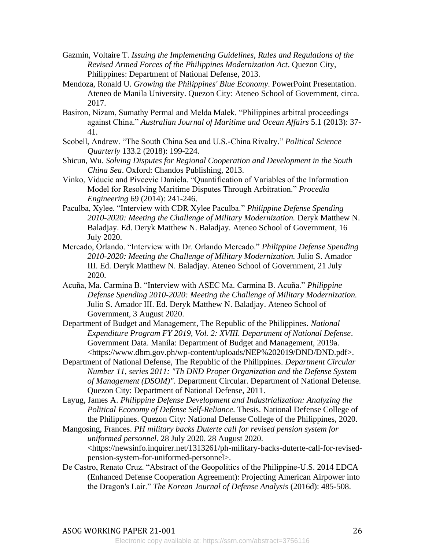- Gazmin, Voltaire T. *Issuing the Implementing Guidelines, Rules and Regulations of the Revised Armed Forces of the Philippines Modernization Act*. Quezon City, Philippines: Department of National Defense, 2013.
- Mendoza, Ronald U. *Growing the Philippines' Blue Economy*. PowerPoint Presentation. Ateneo de Manila University. Quezon City: Ateneo School of Government, circa. 2017.
- Basiron, Nizam, Sumathy Permal and Melda Malek. "Philippines arbitral proceedings against China." *Australian Journal of Maritime and Ocean Affairs* 5.1 (2013): 37- 41.
- Scobell, Andrew. "The South China Sea and U.S.-China Rivalry." *Political Science Quarterly* 133.2 (2018): 199-224.
- Shicun, Wu. *Solving Disputes for Regional Cooperation and Development in the South China Sea*. Oxford: Chandos Publishing, 2013.
- Vinko, Viducic and Pivcevic Daniela. "Quantification of Variables of the Information Model for Resolving Maritime Disputes Through Arbitration." *Procedia Engineering* 69 (2014): 241-246.
- Paculba, Xylee. "Interview with CDR Xylee Paculba." *Philippine Defense Spending 2010-2020: Meeting the Challenge of Military Modernization.* Deryk Matthew N. Baladjay. Ed. Deryk Matthew N. Baladjay. Ateneo School of Government, 16 July 2020.
- Mercado, Orlando. "Interview with Dr. Orlando Mercado." *Philippine Defense Spending 2010-2020: Meeting the Challenge of Military Modernization.* Julio S. Amador III. Ed. Deryk Matthew N. Baladjay. Ateneo School of Government, 21 July 2020.
- Acuña, Ma. Carmina B. "Interview with ASEC Ma. Carmina B. Acuña." *Philippine Defense Spending 2010-2020: Meeting the Challenge of Military Modernization.* Julio S. Amador III. Ed. Deryk Matthew N. Baladjay. Ateneo School of Government, 3 August 2020.
- Department of Budget and Management, The Republic of the Philippines. *National Expenditure Program FY 2019, Vol. 2: XVIII. Department of National Defense*. Government Data. Manila: Department of Budget and Management, 2019a. <https://www.dbm.gov.ph/wp-content/uploads/NEP%202019/DND/DND.pdf>.
- Department of National Defense, The Republic of the Philippines. *Department Circular Number 11, series 2011: "Th DND Proper Organization and the Defense System of Management (DSOM)"*. Department Circular. Department of National Defense. Quezon City: Department of National Defense, 2011.
- Layug, James A. *Philippine Defense Development and Industrialization: Analyzing the Political Economy of Defense Self-Reliance*. Thesis. National Defense College of the Philippines. Quezon City: National Defense College of the Philippines, 2020.
- Mangosing, Frances. *PH military backs Duterte call for revised pension system for uniformed personnel*. 28 July 2020. 28 August 2020. <https://newsinfo.inquirer.net/1313261/ph-military-backs-duterte-call-for-revisedpension-system-for-uniformed-personnel>.
- De Castro, Renato Cruz. "Abstract of the Geopolitics of the Philippine-U.S. 2014 EDCA (Enhanced Defense Cooperation Agreement): Projecting American Airpower into the Dragon's Lair." *The Korean Journal of Defense Analysis* (2016d): 485-508.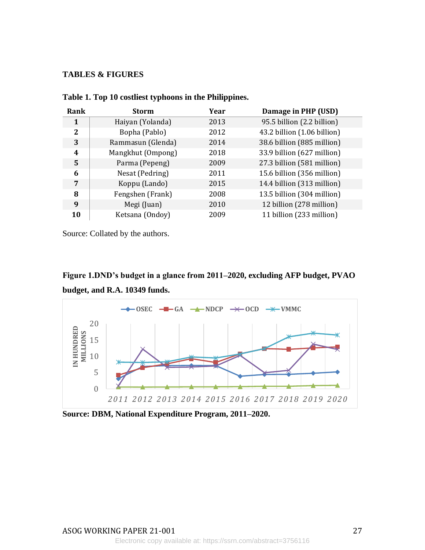## **TABLES & FIGURES**

| Rank         | <b>Storm</b>      | Year | Damage in PHP (USD)         |
|--------------|-------------------|------|-----------------------------|
| 1            | Haiyan (Yolanda)  | 2013 | 95.5 billion (2.2 billion)  |
| $\mathbf{2}$ | Bopha (Pablo)     | 2012 | 43.2 billion (1.06 billion) |
| 3            | Rammasun (Glenda) | 2014 | 38.6 billion (885 million)  |
| 4            | Mangkhut (Ompong) | 2018 | 33.9 billion (627 million)  |
| 5            | Parma (Pepeng)    | 2009 | 27.3 billion (581 million)  |
| 6            | Nesat (Pedring)   | 2011 | 15.6 billion (356 million)  |
| 7            | Koppu (Lando)     | 2015 | 14.4 billion (313 million)  |
| 8            | Fengshen (Frank)  | 2008 | 13.5 billion (304 million)  |
| 9            | Megi (Juan)       | 2010 | 12 billion (278 million)    |
| 10           | Ketsana (Ondoy)   | 2009 | 11 billion (233 million)    |

**Table 1. Top 10 costliest typhoons in the Philippines.** 

Source: Collated by the authors.





**Source: DBM, National Expenditure Program, 2011–2020.**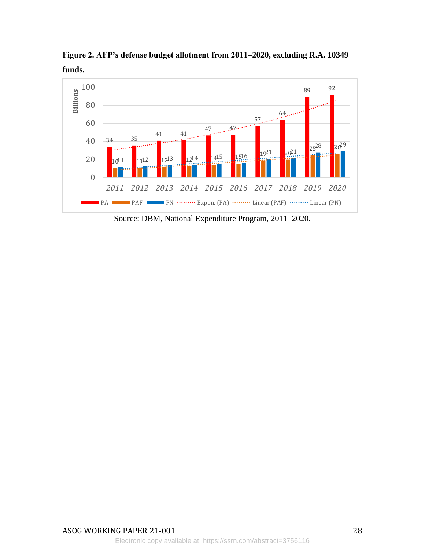**Figure 2. AFP's defense budget allotment from 2011–2020, excluding R.A. 10349 funds.** 



Source: DBM, National Expenditure Program, 2011–2020.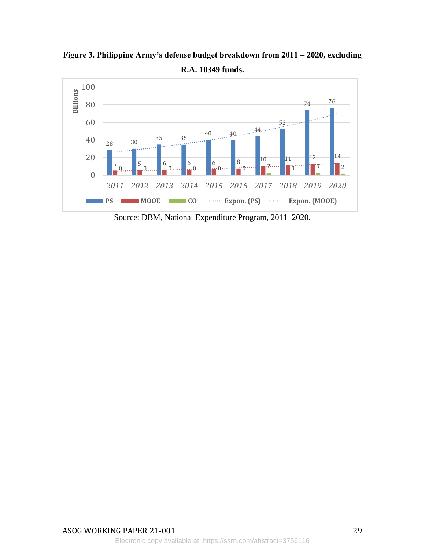**Figure 3. Philippine Army's defense budget breakdown from 2011 – 2020, excluding R.A. 10349 funds.**



Source: DBM, National Expenditure Program, 2011–2020.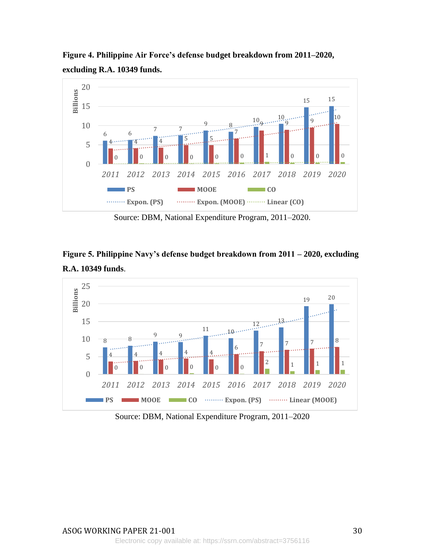**Figure 4. Philippine Air Force's defense budget breakdown from 2011–2020, excluding R.A. 10349 funds.** 



Source: DBM, National Expenditure Program, 2011–2020.





Source: DBM, National Expenditure Program, 2011–2020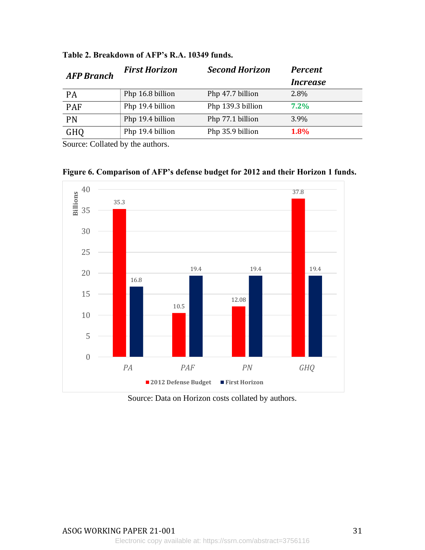|                  | <b>Second Horizon</b> | <b>Percent</b>         |
|------------------|-----------------------|------------------------|
|                  |                       | <i><b>Increase</b></i> |
| Php 16.8 billion | Php 47.7 billion      | 2.8%                   |
| Php 19.4 billion | Php 139.3 billion     | $7.2\%$                |
| Php 19.4 billion | Php 77.1 billion      | 3.9%                   |
| Php 19.4 billion | Php 35.9 billion      | 1.8%                   |
|                  | <b>First Horizon</b>  |                        |

**Table 2. Breakdown of AFP's R.A. 10349 funds.** 

Source: Collated by the authors.



**Figure 6. Comparison of AFP's defense budget for 2012 and their Horizon 1 funds.**

Source: Data on Horizon costs collated by authors.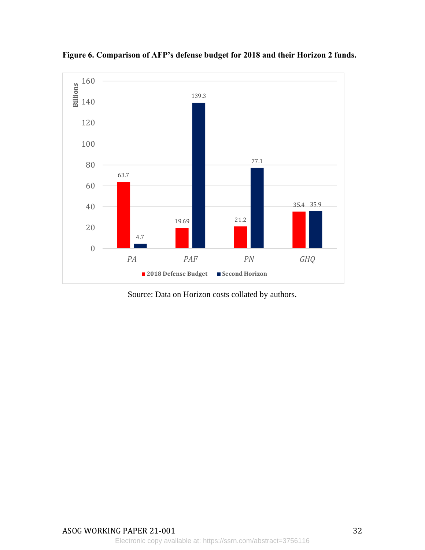

**Figure 6. Comparison of AFP's defense budget for 2018 and their Horizon 2 funds.** 

Source: Data on Horizon costs collated by authors.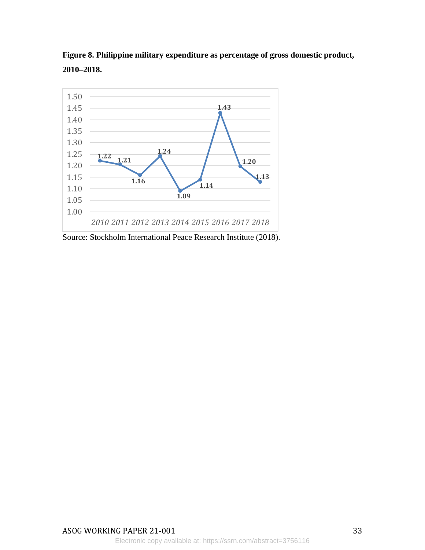

**Figure 8. Philippine military expenditure as percentage of gross domestic product, 2010–2018.** 

Source: Stockholm International Peace Research Institute (2018).